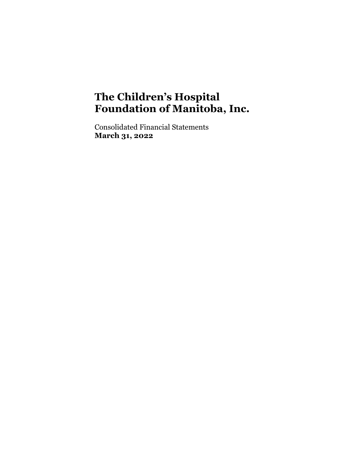Consolidated Financial Statements **March 31, 2022**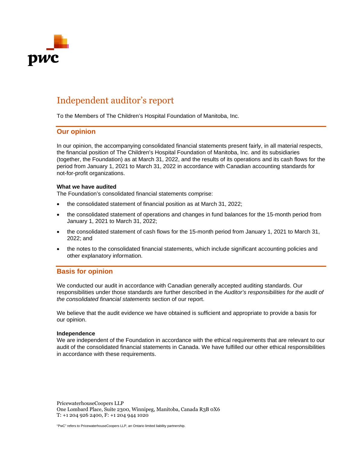

# Independent auditor's report

To the Members of The Children's Hospital Foundation of Manitoba, Inc.

### **Our opinion**

In our opinion, the accompanying consolidated financial statements present fairly, in all material respects, the financial position of The Children's Hospital Foundation of Manitoba, Inc. and its subsidiaries (together, the Foundation) as at March 31, 2022, and the results of its operations and its cash flows for the period from January 1, 2021 to March 31, 2022 in accordance with Canadian accounting standards for not-for-profit organizations.

#### **What we have audited**

The Foundation's consolidated financial statements comprise:

- the consolidated statement of financial position as at March 31, 2022;
- the consolidated statement of operations and changes in fund balances for the 15-month period from January 1, 2021 to March 31, 2022;
- the consolidated statement of cash flows for the 15-month period from January 1, 2021 to March 31, 2022; and
- the notes to the consolidated financial statements, which include significant accounting policies and other explanatory information.

### **Basis for opinion**

We conducted our audit in accordance with Canadian generally accepted auditing standards. Our responsibilities under those standards are further described in the *Auditor's responsibilities for the audit of the consolidated financial statements* section of our report.

We believe that the audit evidence we have obtained is sufficient and appropriate to provide a basis for our opinion.

#### **Independence**

We are independent of the Foundation in accordance with the ethical requirements that are relevant to our audit of the consolidated financial statements in Canada. We have fulfilled our other ethical responsibilities in accordance with these requirements.

PricewaterhouseCoopers LLP One Lombard Place, Suite 2300, Winnipeg, Manitoba, Canada R3B 0X6 T: +1 204 926 2400, F: +1 204 944 1020

"PwC" refers to PricewaterhouseCoopers LLP, an Ontario limited liability partnership.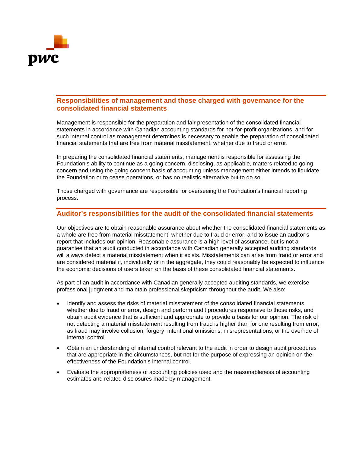

### **Responsibilities of management and those charged with governance for the consolidated financial statements**

Management is responsible for the preparation and fair presentation of the consolidated financial statements in accordance with Canadian accounting standards for not-for-profit organizations, and for such internal control as management determines is necessary to enable the preparation of consolidated financial statements that are free from material misstatement, whether due to fraud or error.

In preparing the consolidated financial statements, management is responsible for assessing the Foundation's ability to continue as a going concern, disclosing, as applicable, matters related to going concern and using the going concern basis of accounting unless management either intends to liquidate the Foundation or to cease operations, or has no realistic alternative but to do so.

Those charged with governance are responsible for overseeing the Foundation's financial reporting process.

### **Auditor's responsibilities for the audit of the consolidated financial statements**

Our objectives are to obtain reasonable assurance about whether the consolidated financial statements as a whole are free from material misstatement, whether due to fraud or error, and to issue an auditor's report that includes our opinion. Reasonable assurance is a high level of assurance, but is not a guarantee that an audit conducted in accordance with Canadian generally accepted auditing standards will always detect a material misstatement when it exists. Misstatements can arise from fraud or error and are considered material if, individually or in the aggregate, they could reasonably be expected to influence the economic decisions of users taken on the basis of these consolidated financial statements.

As part of an audit in accordance with Canadian generally accepted auditing standards, we exercise professional judgment and maintain professional skepticism throughout the audit. We also:

- Identify and assess the risks of material misstatement of the consolidated financial statements, whether due to fraud or error, design and perform audit procedures responsive to those risks, and obtain audit evidence that is sufficient and appropriate to provide a basis for our opinion. The risk of not detecting a material misstatement resulting from fraud is higher than for one resulting from error, as fraud may involve collusion, forgery, intentional omissions, misrepresentations, or the override of internal control.
- Obtain an understanding of internal control relevant to the audit in order to design audit procedures that are appropriate in the circumstances, but not for the purpose of expressing an opinion on the effectiveness of the Foundation's internal control.
- Evaluate the appropriateness of accounting policies used and the reasonableness of accounting estimates and related disclosures made by management.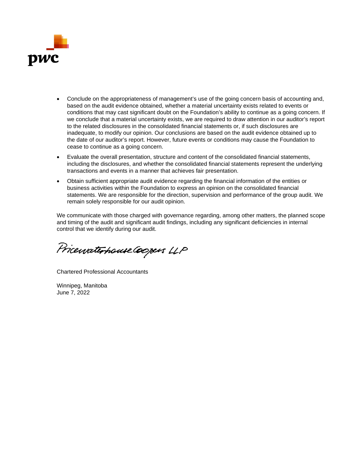

- Conclude on the appropriateness of management's use of the going concern basis of accounting and, based on the audit evidence obtained, whether a material uncertainty exists related to events or conditions that may cast significant doubt on the Foundation's ability to continue as a going concern. If we conclude that a material uncertainty exists, we are required to draw attention in our auditor's report to the related disclosures in the consolidated financial statements or, if such disclosures are inadequate, to modify our opinion. Our conclusions are based on the audit evidence obtained up to the date of our auditor's report. However, future events or conditions may cause the Foundation to cease to continue as a going concern.
- Evaluate the overall presentation, structure and content of the consolidated financial statements, including the disclosures, and whether the consolidated financial statements represent the underlying transactions and events in a manner that achieves fair presentation.
- Obtain sufficient appropriate audit evidence regarding the financial information of the entities or business activities within the Foundation to express an opinion on the consolidated financial statements. We are responsible for the direction, supervision and performance of the group audit. We remain solely responsible for our audit opinion.

We communicate with those charged with governance regarding, among other matters, the planned scope and timing of the audit and significant audit findings, including any significant deficiencies in internal control that we identify during our audit.

PricewaterhouseCoopers LLP

Chartered Professional Accountants

Winnipeg, Manitoba June 7, 2022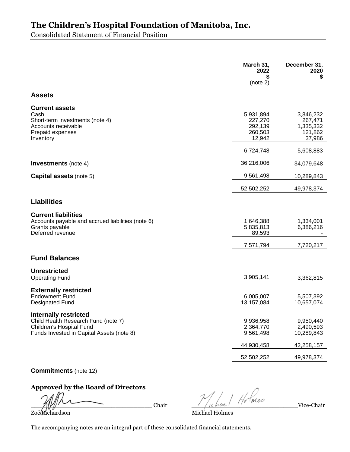Consolidated Statement of Financial Position

|                                                                                                                                       | March 31,<br>2022<br>S<br>(note 2)                   | December 31,<br>2020<br>\$                             |
|---------------------------------------------------------------------------------------------------------------------------------------|------------------------------------------------------|--------------------------------------------------------|
| <b>Assets</b>                                                                                                                         |                                                      |                                                        |
| <b>Current assets</b><br>Cash<br>Short-term investments (note 4)<br>Accounts receivable<br>Prepaid expenses<br>Inventory              | 5,931,894<br>227,270<br>292,139<br>260,503<br>12,942 | 3,846,232<br>267,471<br>1,335,332<br>121,862<br>37,986 |
|                                                                                                                                       | 6,724,748                                            | 5,608,883                                              |
| <b>Investments</b> (note 4)                                                                                                           | 36,216,006                                           | 34,079,648                                             |
| <b>Capital assets (note 5)</b>                                                                                                        | 9,561,498                                            | 10,289,843                                             |
|                                                                                                                                       | 52,502,252                                           | 49,978,374                                             |
| <b>Liabilities</b>                                                                                                                    |                                                      |                                                        |
| <b>Current liabilities</b><br>Accounts payable and accrued liabilities (note 6)<br>Grants payable<br>Deferred revenue                 | 1,646,388<br>5,835,813<br>89,593                     | 1,334,001<br>6,386,216                                 |
|                                                                                                                                       | 7,571,794                                            | 7,720,217                                              |
| <b>Fund Balances</b>                                                                                                                  |                                                      |                                                        |
| <b>Unrestricted</b><br><b>Operating Fund</b>                                                                                          | 3,905,141                                            | 3,362,815                                              |
| <b>Externally restricted</b><br><b>Endowment Fund</b><br><b>Designated Fund</b>                                                       | 6,005,007<br>13,157,084                              | 5,507,392<br>10,657,074                                |
| Internally restricted<br>Child Health Research Fund (note 7)<br>Children's Hospital Fund<br>Funds Invested in Capital Assets (note 8) | 9,936,958<br>2,364,770<br>9,561,498                  | 9,950,440<br>2,490,593<br>10,289,843                   |
|                                                                                                                                       | 44,930,458                                           | 42,258,157                                             |
|                                                                                                                                       | 52,502,252                                           | 49,978,374                                             |
|                                                                                                                                       |                                                      |                                                        |

**Commitments** (note 12)

### **Approved by the Board of Directors**

\_\_\_\_\_\_\_\_\_\_\_\_\_\_\_\_\_\_\_\_\_\_\_\_\_\_\_\_\_\_\_\_\_ Chair \_\_\_\_\_\_\_\_\_\_\_\_\_\_\_\_\_\_\_\_\_\_\_\_\_\_\_\_\_Vice-Chair Zoë Richardson Michael Holmes

The accompanying notes are an integral part of these consolidated financial statements.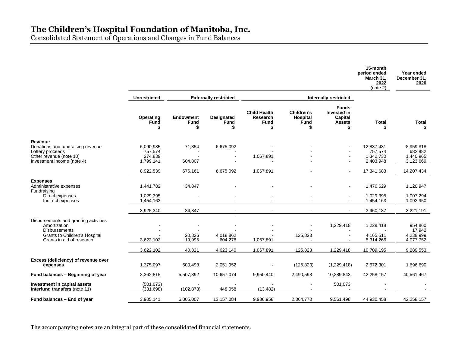Consolidated Statement of Operations and Changes in Fund Balances

|                                                                                                                                             |                                              |                                      |                                  |                                                     |                                            |                                                         | 15-month<br>period ended<br>March 31,<br>2022<br>(note 2) | Year ended<br>December 31.<br>2020             |
|---------------------------------------------------------------------------------------------------------------------------------------------|----------------------------------------------|--------------------------------------|----------------------------------|-----------------------------------------------------|--------------------------------------------|---------------------------------------------------------|-----------------------------------------------------------|------------------------------------------------|
|                                                                                                                                             | <b>Unrestricted</b>                          |                                      | <b>Externally restricted</b>     |                                                     |                                            | Internally restricted                                   |                                                           |                                                |
|                                                                                                                                             | Operating<br><b>Fund</b>                     | <b>Endowment</b><br><b>Fund</b><br>S | <b>Designated</b><br><b>Fund</b> | <b>Child Health</b><br>Research<br><b>Fund</b><br>S | Children's<br>Hospital<br><b>Fund</b><br>S | <b>Funds</b><br>Invested in<br>Capital<br><b>Assets</b> | <b>Total</b>                                              | <b>Total</b>                                   |
| Revenue<br>Donations and fundraising revenue<br>Lottery proceeds<br>Other revenue (note 10)<br>Investment income (note 4)                   | 6,090,985<br>757,574<br>274,839<br>1,799,141 | 71,354<br>604,807                    | 6,675,092                        | 1,067,891                                           |                                            |                                                         | 12,837,431<br>757,574<br>1,342,730<br>2,403,948           | 8,959,818<br>682,982<br>1,440,965<br>3,123,669 |
|                                                                                                                                             | 8,922,539                                    | 676,161                              | 6,675,092                        | 1,067,891                                           |                                            |                                                         | 17,341,683                                                | 14,207,434                                     |
| <b>Expenses</b><br>Administrative expenses<br>Fundraising<br>Direct expenses<br>Indirect expenses                                           | 1,441,782<br>1,029,395<br>1,454,163          | 34,847                               |                                  |                                                     |                                            |                                                         | 1,476,629<br>1,029,395<br>1,454,163                       | 1,120,947<br>1,007,294<br>1,092,950            |
|                                                                                                                                             | 3,925,340                                    | 34,847                               | $\sim$                           | $\sim$                                              |                                            |                                                         | 3,960,187                                                 | 3,221,191                                      |
| Disbursements and granting activities<br>Amortization<br><b>Disbursements</b><br>Grants to Children's Hospital<br>Grants in aid of research | 3,622,102                                    | 20,826<br>19,995                     | 4,018,862<br>604,278             | 1,067,891                                           | 125,823                                    | 1,229,418                                               | 1,229,418<br>4,165,511<br>5,314,266                       | 954,860<br>17,942<br>4,238,999<br>4,077,752    |
|                                                                                                                                             | 3,622,102                                    | 40,821                               | 4,623,140                        | 1,067,891                                           | 125,823                                    | 1,229,418                                               | 10,709,195                                                | 9,289,553                                      |
| Excess (deficiency) of revenue over<br>expenses                                                                                             | 1,375,097                                    | 600,493                              | 2,051,952                        |                                                     | (125, 823)                                 | (1,229,418)                                             | 2,672,301                                                 | 1,696,690                                      |
| Fund balances - Beginning of year                                                                                                           | 3,362,815                                    | 5,507,392                            | 10,657,074                       | 9,950,440                                           | 2,490,593                                  | 10,289,843                                              | 42,258,157                                                | 40,561,467                                     |
| <b>Investment in capital assets</b><br><b>Interfund transfers</b> (note 11)                                                                 | (501,073)<br>(331, 698)                      | (102, 878)                           | 448,058                          | (13, 482)                                           |                                            | 501,073                                                 |                                                           |                                                |
| Fund balances – End of year                                                                                                                 | 3,905,141                                    | 6,005,007                            | 13,157,084                       | 9,936,958                                           | 2,364,770                                  | 9,561,498                                               | 44,930,458                                                | 42,258,157                                     |
|                                                                                                                                             |                                              |                                      |                                  |                                                     |                                            |                                                         |                                                           |                                                |

The accompanying notes are an integral part of these consolidated financial statements.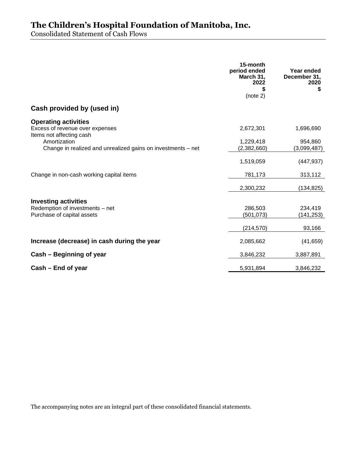Consolidated Statement of Cash Flows

|                                                                                            | 15-month<br>period ended<br>March 31,<br>2022<br>\$<br>(note 2) | Year ended<br>December 31,<br>2020<br>\$ |
|--------------------------------------------------------------------------------------------|-----------------------------------------------------------------|------------------------------------------|
| Cash provided by (used in)                                                                 |                                                                 |                                          |
| <b>Operating activities</b><br>Excess of revenue over expenses<br>Items not affecting cash | 2,672,301                                                       | 1,696,690                                |
| Amortization<br>Change in realized and unrealized gains on investments - net               | 1,229,418<br>(2,382,660)                                        | 954,860<br>(3,099,487)                   |
|                                                                                            | 1,519,059                                                       | (447, 937)                               |
| Change in non-cash working capital items                                                   | 781,173                                                         | 313,112                                  |
|                                                                                            | 2,300,232                                                       | (134, 825)                               |
| <b>Investing activities</b><br>Redemption of investments - net                             | 286,503                                                         | 234,419                                  |
| Purchase of capital assets                                                                 | (501, 073)                                                      | (141, 253)                               |
|                                                                                            | (214, 570)                                                      | 93,166                                   |
| Increase (decrease) in cash during the year                                                | 2,085,662                                                       | (41, 659)                                |
| Cash – Beginning of year                                                                   | 3,846,232                                                       | 3,887,891                                |
| Cash – End of year                                                                         | 5,931,894                                                       | 3,846,232                                |

The accompanying notes are an integral part of these consolidated financial statements.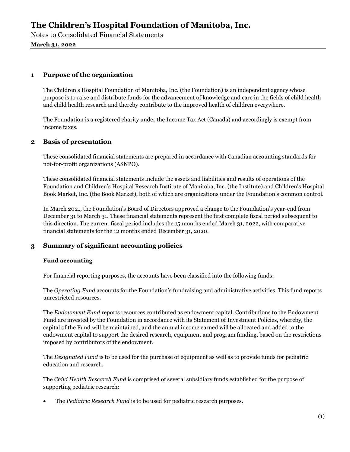Notes to Consolidated Financial Statements

**March 31, 2022**

### **1 Purpose of the organization**

The Children's Hospital Foundation of Manitoba, Inc. (the Foundation) is an independent agency whose purpose is to raise and distribute funds for the advancement of knowledge and care in the fields of child health and child health research and thereby contribute to the improved health of children everywhere.

The Foundation is a registered charity under the Income Tax Act (Canada) and accordingly is exempt from income taxes.

### **2 Basis of presentation**

These consolidated financial statements are prepared in accordance with Canadian accounting standards for not-for-profit organizations (ASNPO).

These consolidated financial statements include the assets and liabilities and results of operations of the Foundation and Children's Hospital Research Institute of Manitoba, Inc. (the Institute) and Children's Hospital Book Market, Inc. (the Book Market), both of which are organizations under the Foundation's common control.

In March 2021, the Foundation's Board of Directors approved a change to the Foundation's year-end from December 31 to March 31. These financial statements represent the first complete fiscal period subsequent to this direction. The current fiscal period includes the 15 months ended March 31, 2022, with comparative financial statements for the 12 months ended December 31, 2020.

### **3 Summary of significant accounting policies**

### **Fund accounting**

For financial reporting purposes, the accounts have been classified into the following funds:

The *Operating Fund* accounts for the Foundation's fundraising and administrative activities. This fund reports unrestricted resources.

The *Endowment Fund* reports resources contributed as endowment capital. Contributions to the Endowment Fund are invested by the Foundation in accordance with its Statement of Investment Policies, whereby, the capital of the Fund will be maintained, and the annual income earned will be allocated and added to the endowment capital to support the desired research, equipment and program funding, based on the restrictions imposed by contributors of the endowment.

The *Designated Fund* is to be used for the purchase of equipment as well as to provide funds for pediatric education and research.

The *Child Health Research Fund* is comprised of several subsidiary funds established for the purpose of supporting pediatric research:

The *Pediatric Research Fund* is to be used for pediatric research purposes.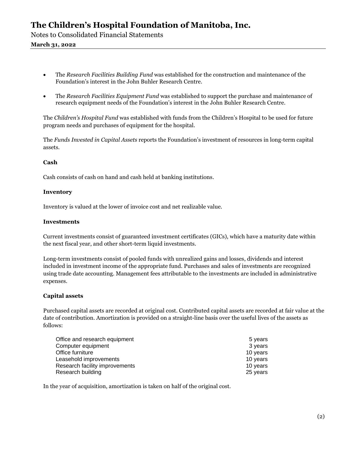Notes to Consolidated Financial Statements

### **March 31, 2022**

- The *Research Facilities Building Fund* was established for the construction and maintenance of the Foundation's interest in the John Buhler Research Centre.
- The *Research Facilities Equipment Fund* was established to support the purchase and maintenance of research equipment needs of the Foundation's interest in the John Buhler Research Centre.

The *Children's Hospital Fund* was established with funds from the Children's Hospital to be used for future program needs and purchases of equipment for the hospital.

The *Funds Invested in Capital Assets* reports the Foundation's investment of resources in long-term capital assets.

#### **Cash**

Cash consists of cash on hand and cash held at banking institutions.

#### **Inventory**

Inventory is valued at the lower of invoice cost and net realizable value.

#### **Investments**

Current investments consist of guaranteed investment certificates (GICs), which have a maturity date within the next fiscal year, and other short-term liquid investments.

Long-term investments consist of pooled funds with unrealized gains and losses, dividends and interest included in investment income of the appropriate fund. Purchases and sales of investments are recognized using trade date accounting. Management fees attributable to the investments are included in administrative expenses.

### **Capital assets**

Purchased capital assets are recorded at original cost. Contributed capital assets are recorded at fair value at the date of contribution. Amortization is provided on a straight-line basis over the useful lives of the assets as follows:

| Office and research equipment  | 5 years  |
|--------------------------------|----------|
| Computer equipment             | 3 years  |
| Office furniture               | 10 years |
| Leasehold improvements         | 10 years |
| Research facility improvements | 10 years |
| Research building              | 25 years |

In the year of acquisition, amortization is taken on half of the original cost.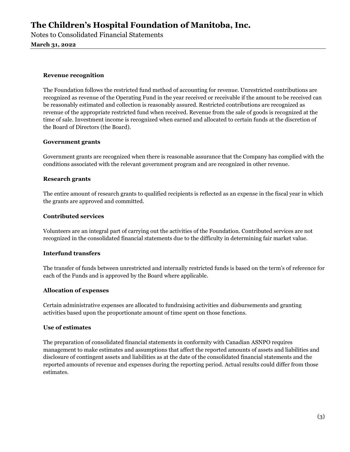Notes to Consolidated Financial Statements

**March 31, 2022**

### **Revenue recognition**

The Foundation follows the restricted fund method of accounting for revenue. Unrestricted contributions are recognized as revenue of the Operating Fund in the year received or receivable if the amount to be received can be reasonably estimated and collection is reasonably assured. Restricted contributions are recognized as revenue of the appropriate restricted fund when received. Revenue from the sale of goods is recognized at the time of sale. Investment income is recognized when earned and allocated to certain funds at the discretion of the Board of Directors (the Board).

### **Government grants**

Government grants are recognized when there is reasonable assurance that the Company has complied with the conditions associated with the relevant government program and are recognized in other revenue.

### **Research grants**

The entire amount of research grants to qualified recipients is reflected as an expense in the fiscal year in which the grants are approved and committed.

### **Contributed services**

Volunteers are an integral part of carrying out the activities of the Foundation. Contributed services are not recognized in the consolidated financial statements due to the difficulty in determining fair market value.

### **Interfund transfers**

The transfer of funds between unrestricted and internally restricted funds is based on the term's of reference for each of the Funds and is approved by the Board where applicable.

### **Allocation of expenses**

Certain administrative expenses are allocated to fundraising activities and disbursements and granting activities based upon the proportionate amount of time spent on those functions.

### **Use of estimates**

The preparation of consolidated financial statements in conformity with Canadian ASNPO requires management to make estimates and assumptions that affect the reported amounts of assets and liabilities and disclosure of contingent assets and liabilities as at the date of the consolidated financial statements and the reported amounts of revenue and expenses during the reporting period. Actual results could differ from those estimates.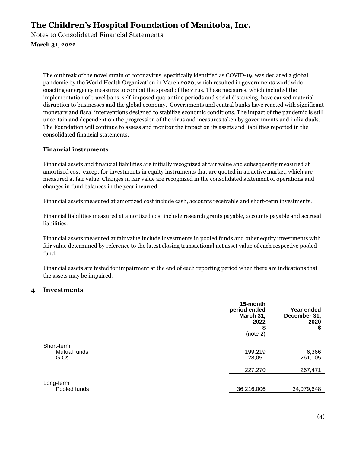Notes to Consolidated Financial Statements

### **March 31, 2022**

The outbreak of the novel strain of coronavirus, specifically identified as COVID-19, was declared a global pandemic by the World Health Organization in March 2020, which resulted in governments worldwide enacting emergency measures to combat the spread of the virus. These measures, which included the implementation of travel bans, self-imposed quarantine periods and social distancing, have caused material disruption to businesses and the global economy. Governments and central banks have reacted with significant monetary and fiscal interventions designed to stabilize economic conditions. The impact of the pandemic is still uncertain and dependent on the progression of the virus and measures taken by governments and individuals. The Foundation will continue to assess and monitor the impact on its assets and liabilities reported in the consolidated financial statements.

### **Financial instruments**

Financial assets and financial liabilities are initially recognized at fair value and subsequently measured at amortized cost, except for investments in equity instruments that are quoted in an active market, which are measured at fair value. Changes in fair value are recognized in the consolidated statement of operations and changes in fund balances in the year incurred.

Financial assets measured at amortized cost include cash, accounts receivable and short-term investments.

Financial liabilities measured at amortized cost include research grants payable, accounts payable and accrued liabilities.

Financial assets measured at fair value include investments in pooled funds and other equity investments with fair value determined by reference to the latest closing transactional net asset value of each respective pooled fund.

Financial assets are tested for impairment at the end of each reporting period when there are indications that the assets may be impaired.

### **4 Investments**

|                                           | 15-month<br>period ended<br>March 31,<br>2022<br>ъ<br>(note 2) | Year ended<br>December 31,<br>2020<br>\$ |
|-------------------------------------------|----------------------------------------------------------------|------------------------------------------|
| Short-term<br>Mutual funds<br><b>GICs</b> | 199,219<br>28,051                                              | 6,366<br>261,105                         |
|                                           | 227,270                                                        | 267,471                                  |
| Long-term<br>Pooled funds                 | 36,216,006                                                     | 34,079,648                               |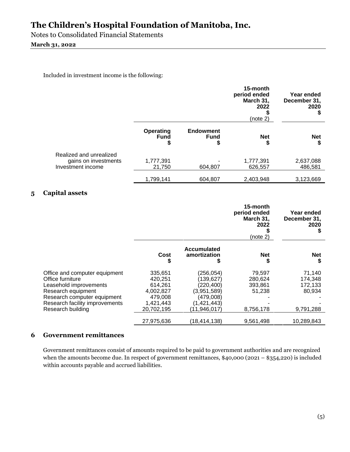Notes to Consolidated Financial Statements

### **March 31, 2022**

Included in investment income is the following:

|                                                                      |                                |                                      | 15-month<br>period ended<br>March 31,<br>2022<br>(note 2) | Year ended<br>December 31,<br>2020 |
|----------------------------------------------------------------------|--------------------------------|--------------------------------------|-----------------------------------------------------------|------------------------------------|
|                                                                      | Operating<br><b>Fund</b><br>\$ | <b>Endowment</b><br><b>Fund</b><br>Φ | <b>Net</b><br>\$                                          | <b>Net</b><br>S                    |
| Realized and unrealized<br>gains on investments<br>Investment income | 1,777,391<br>21,750            | 604.807                              | 1,777,391<br>626,557                                      | 2,637,088<br>486.581               |
|                                                                      | 1,799,141                      | 604.807                              | 2,403,948                                                 | 3,123,669                          |

### **5 Capital assets**

|                                                                                                                                                                                         |                                                                                  |                                                                                                  | 15-month<br>period ended<br>March 31,<br>2022<br>(note 2) | Year ended<br>December 31,<br>2020                  |
|-----------------------------------------------------------------------------------------------------------------------------------------------------------------------------------------|----------------------------------------------------------------------------------|--------------------------------------------------------------------------------------------------|-----------------------------------------------------------|-----------------------------------------------------|
|                                                                                                                                                                                         | Cost<br>\$                                                                       | <b>Accumulated</b><br>amortization<br>J                                                          | <b>Net</b><br>\$                                          | <b>Net</b><br>S                                     |
| Office and computer equipment<br>Office furniture<br>Leasehold improvements<br>Research equipment<br>Research computer equipment<br>Research facility improvements<br>Research building | 335,651<br>420,251<br>614,261<br>4,002,827<br>479,008<br>1,421,443<br>20,702,195 | (256,054)<br>(139,627)<br>(220,400)<br>(3,951,589)<br>(479,008)<br>(1,421,443)<br>(11, 946, 017) | 79,597<br>280,624<br>393,861<br>51,238<br>8,756,178       | 71,140<br>174,348<br>172,133<br>80,934<br>9,791,288 |
|                                                                                                                                                                                         | 27,975,636                                                                       | (18,414,138)                                                                                     | 9.561.498                                                 | 10,289,843                                          |

### **6 Government remittances**

Government remittances consist of amounts required to be paid to government authorities and are recognized when the amounts become due. In respect of government remittances, \$40,000 (2021 – \$354,220) is included within accounts payable and accrued liabilities.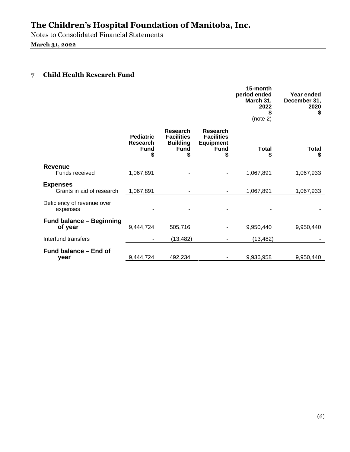Notes to Consolidated Financial Statements

**March 31, 2022**

### **7 Child Health Research Fund**

|                                              |                                                         |                                                                             |                                                                       | 15-month<br>period ended<br>March 31,<br>2022<br>(note 2) | Year ended<br>December 31,<br>2020<br>\$ |
|----------------------------------------------|---------------------------------------------------------|-----------------------------------------------------------------------------|-----------------------------------------------------------------------|-----------------------------------------------------------|------------------------------------------|
|                                              | <b>Pediatric</b><br><b>Research</b><br><b>Fund</b><br>S | <b>Research</b><br><b>Facilities</b><br><b>Building</b><br><b>Fund</b><br>S | Research<br><b>Facilities</b><br><b>Equipment</b><br><b>Fund</b><br>S | <b>Total</b><br>S                                         | <b>Total</b><br>\$                       |
| <b>Revenue</b><br>Funds received             | 1,067,891                                               |                                                                             |                                                                       | 1,067,891                                                 | 1,067,933                                |
| <b>Expenses</b><br>Grants in aid of research | 1,067,891                                               |                                                                             | -                                                                     | 1,067,891                                                 | 1,067,933                                |
| Deficiency of revenue over<br>expenses       |                                                         |                                                                             |                                                                       |                                                           |                                          |
| <b>Fund balance - Beginning</b><br>of year   | 9,444,724                                               | 505,716                                                                     |                                                                       | 9,950,440                                                 | 9,950,440                                |
| Interfund transfers                          |                                                         | (13, 482)                                                                   |                                                                       | (13, 482)                                                 |                                          |
| Fund balance – End of<br>year                | 9,444,724                                               | 492,234                                                                     |                                                                       | 9,936,958                                                 | 9,950,440                                |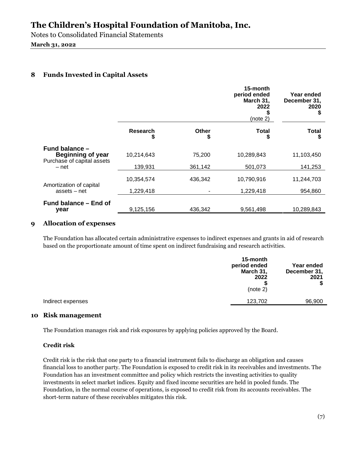Notes to Consolidated Financial Statements

### **March 31, 2022**

### **8 Funds Invested in Capital Assets**

|                       |             | 15-month<br>period ended<br>March 31,<br>2022<br>(note 2) | Year ended<br>December 31,<br>2020<br>S |
|-----------------------|-------------|-----------------------------------------------------------|-----------------------------------------|
| <b>Research</b><br>\$ | Other<br>\$ | <b>Total</b><br>S                                         | <b>Total</b><br>S                       |
| 10,214,643            | 75,200      | 10,289,843                                                | 11,103,450                              |
| 139,931               | 361,142     | 501,073                                                   | 141,253                                 |
| 10,354,574            | 436,342     | 10,790,916                                                | 11,244,703                              |
| 1,229,418             |             | 1,229,418                                                 | 954,860                                 |
|                       |             |                                                           | 10,289,843                              |
|                       | 9,125,156   | 436,342                                                   | 9,561,498                               |

### **9 Allocation of expenses**

The Foundation has allocated certain administrative expenses to indirect expenses and grants in aid of research based on the proportionate amount of time spent on indirect fundraising and research activities.

|                   | 15-month<br>period ended<br>March 31,<br>2022<br>(note 2) | Year ended<br>December 31,<br>2021<br>\$ |
|-------------------|-----------------------------------------------------------|------------------------------------------|
| Indirect expenses | 123,702                                                   | 96,900                                   |

### **10 Risk management**

The Foundation manages risk and risk exposures by applying policies approved by the Board.

### **Credit risk**

Credit risk is the risk that one party to a financial instrument fails to discharge an obligation and causes financial loss to another party. The Foundation is exposed to credit risk in its receivables and investments. The Foundation has an investment committee and policy which restricts the investing activities to quality investments in select market indices. Equity and fixed income securities are held in pooled funds. The Foundation, in the normal course of operations, is exposed to credit risk from its accounts receivables. The short-term nature of these receivables mitigates this risk.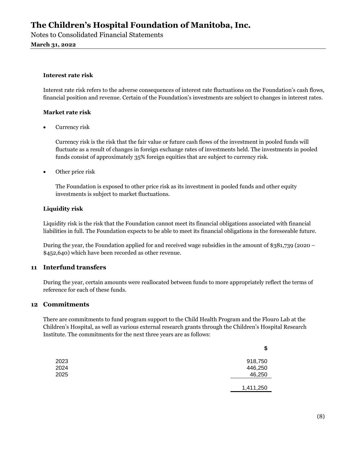Notes to Consolidated Financial Statements

**March 31, 2022**

### **Interest rate risk**

Interest rate risk refers to the adverse consequences of interest rate fluctuations on the Foundation's cash flows, financial position and revenue. Certain of the Foundation's investments are subject to changes in interest rates.

### **Market rate risk**

• Currency risk

Currency risk is the risk that the fair value or future cash flows of the investment in pooled funds will fluctuate as a result of changes in foreign exchange rates of investments held. The investments in pooled funds consist of approximately 35% foreign equities that are subject to currency risk.

• Other price risk

The Foundation is exposed to other price risk as its investment in pooled funds and other equity investments is subject to market fluctuations.

#### **Liquidity risk**

Liquidity risk is the risk that the Foundation cannot meet its financial obligations associated with financial liabilities in full. The Foundation expects to be able to meet its financial obligations in the foreseeable future.

During the year, the Foundation applied for and received wage subsidies in the amount of \$381,739 (2020 – \$452,640) which have been recorded as other revenue.

### **11 Interfund transfers**

During the year, certain amounts were reallocated between funds to more appropriately reflect the terms of reference for each of these funds.

### **12 Commitments**

There are commitments to fund program support to the Child Health Program and the Flouro Lab at the Children's Hospital, as well as various external research grants through the Children's Hospital Research Institute. The commitments for the next three years are as follows:

|      | \$        |
|------|-----------|
| 2023 | 918,750   |
| 2024 | 446,250   |
| 2025 | 46,250    |
|      | 1,411,250 |